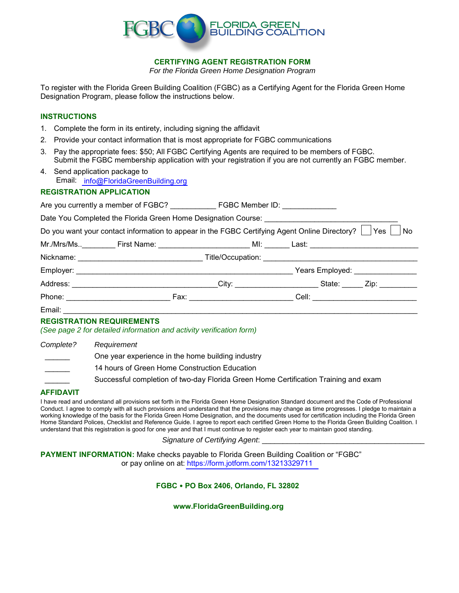

**CERTIFYING AGENT REGISTRATION FORM**

*For the Florida Green Home Designation Program*

To register with the Florida Green Building Coalition (FGBC) as a Certifying Agent for the Florida Green Home Designation Program, please follow the instructions below.

### **INSTRUCTIONS**

- 1. Complete the form in its entirety, including signing the affidavit
- 2. Provide your contact information that is most appropriate for FGBC communications
- 3. Pay the appropriate fees: \$50; All FGBC Certifying Agents are required to be members of FGBC. Submit the FGBC membership application with your registration if you are not currently an FGBC member.
- 4. Send application package to Email: [info@FloridaGreenBuilding.org](mailto: info@floridagreenbuilding.org)

# **REGISTRATION APPLICATION**

Are you currently a member of FGBC? \_\_\_\_\_\_\_\_\_\_\_ FGBC Member ID: \_\_\_\_\_\_\_\_\_\_\_\_\_

Date You Completed the Florida Green Home Designation Course: \_\_\_\_\_\_\_\_\_\_\_\_\_\_\_\_\_\_

Do you want your contact information to appear in the FGBC Certifying Agent Online Directory?  $\Box$  Yes  $\Box$  No

| Mr./Mrs/Ms | First Name: __________________                                                            | MI:                                                                                                                                                                                                                            | Last: the contract of the contract of the contract of the contract of the contract of the contract of the contract of the contract of the contract of the contract of the contract of the contract of the contract of the cont |                |
|------------|-------------------------------------------------------------------------------------------|--------------------------------------------------------------------------------------------------------------------------------------------------------------------------------------------------------------------------------|--------------------------------------------------------------------------------------------------------------------------------------------------------------------------------------------------------------------------------|----------------|
| Nickname:  | the control of the control of the control of the control of the control of the control of |                                                                                                                                                                                                                                |                                                                                                                                                                                                                                |                |
| Employer:  |                                                                                           |                                                                                                                                                                                                                                | Years Employed: ________________                                                                                                                                                                                               |                |
| Address:   |                                                                                           |                                                                                                                                                                                                                                | State:                                                                                                                                                                                                                         | Zip: _________ |
| Phone:     |                                                                                           | Fax: will be a series of the contract of the contract of the contract of the contract of the contract of the contract of the contract of the contract of the contract of the contract of the contract of the contract of the c | Cell:                                                                                                                                                                                                                          |                |

Email: \_\_\_\_\_\_\_\_\_\_\_\_\_\_\_\_\_\_\_\_\_\_\_\_\_\_\_\_\_\_\_\_\_\_\_\_\_\_\_\_\_\_\_\_\_\_\_\_\_\_\_\_\_\_\_\_\_\_\_\_\_\_\_\_\_\_\_\_\_\_\_\_\_\_\_\_\_\_\_\_\_\_\_\_\_

# **REGISTRATION REQUIREMENTS**

*(See page 2 for detailed information and activity verification form)*

| Complete?                | Requirement                                                                         |
|--------------------------|-------------------------------------------------------------------------------------|
| <b>Contract Contract</b> | One year experience in the home building industry                                   |
|                          | 14 hours of Green Home Construction Education                                       |
|                          | Successful completion of two-day Florida Green Home Certification Training and exam |

# **AFFIDAVIT**

I have read and understand all provisions set forth in the Florida Green Home Designation Standard document and the Code of Professional Conduct. I agree to comply with all such provisions and understand that the provisions may change as time progresses. I pledge to maintain a working knowledge of the basis for the Florida Green Home Designation, and the documents used for certification including the Florida Green Home Standard Polices, Checklist and Reference Guide. I agree to report each certified Green Home to the Florida Green Building Coalition. I understand that this registration is good for one year and that I must continue to register each year to maintain good standing.

*Signature of Certifying Agent*: \_\_\_\_\_\_\_\_\_\_\_\_\_\_\_\_\_\_\_\_\_\_\_\_\_\_\_\_\_\_\_\_\_\_\_\_\_\_\_

**PAYMENT INFORMATION:** Make checks payable to Florida Green Building Coalition or "FGBC" or pay online on at: <https://form.jotform.com/13213329711>

# **FGBC PO Box 2406, Orlando, FL 32802**

**www.FloridaGreenBuilding.org**